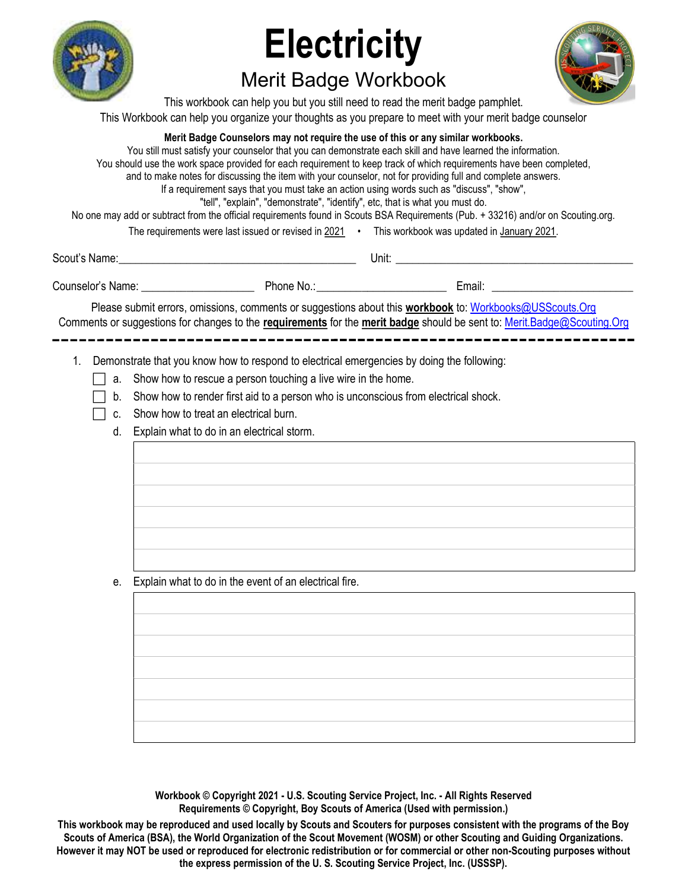

# **Electricity**

## Merit Badge Workbook



This workbook can help you but you still need to read the merit badge pamphlet. This Workbook can help you organize your thoughts as you prepare to meet with your merit badge counselor

#### Merit Badge Counselors may not require the use of this or any similar workbooks.

You still must satisfy your counselor that you can demonstrate each skill and have learned the information. You should use the work space provided for each requirement to keep track of which requirements have been completed, and to make notes for discussing the item with your counselor, not for providing full and complete answers. If a requirement says that you must take an action using words such as "discuss", "show", "tell", "explain", "demonstrate", "identify", etc, that is what you must do. No one may add or subtract from the official requirements found in Scouts BSA Requirements (Pub. + 33216) and/or on Scouting.org. The requirements were last issued or revised in 2021 • This workbook was updated in January 2021.

Scout's Name: \_\_\_\_\_\_\_\_\_\_\_\_\_\_\_\_\_\_\_\_\_\_\_\_\_\_\_\_\_\_\_\_\_\_\_\_\_\_\_\_\_\_ Unit: \_\_\_\_\_\_\_\_\_\_\_\_\_\_\_\_\_\_\_\_\_\_\_\_\_\_\_\_\_\_\_\_\_\_\_\_\_\_\_\_\_\_

Counselor's Name: \_\_\_\_\_\_\_\_\_\_\_\_\_\_\_\_\_\_\_\_ Phone No.: \_\_\_\_\_\_\_\_\_\_\_\_\_\_\_\_\_\_\_\_\_\_\_ Email: \_\_\_\_\_\_\_\_\_\_\_\_\_\_\_\_\_\_\_\_\_\_\_\_\_

Please submit errors, omissions, comments or suggestions about this workbook to: Workbooks@USScouts.Org Comments or suggestions for changes to the requirements for the merit badge should be sent to: Merit.Badge@Scouting.Org 

1. Demonstrate that you know how to respond to electrical emergencies by doing the following:

- $\Box$  a. Show how to rescue a person touching a live wire in the home.
- $\Box$  b. Show how to render first aid to a person who is unconscious from electrical shock.
- $\Box$  c. Show how to treat an electrical burn.
	- d. Explain what to do in an electrical storm.

e. Explain what to do in the event of an electrical fire.

Workbook © Copyright 2021 - U.S. Scouting Service Project, Inc. - All Rights Reserved Requirements © Copyright, Boy Scouts of America (Used with permission.)

This workbook may be reproduced and used locally by Scouts and Scouters for purposes consistent with the programs of the Boy Scouts of America (BSA), the World Organization of the Scout Movement (WOSM) or other Scouting and Guiding Organizations. However it may NOT be used or reproduced for electronic redistribution or for commercial or other non-Scouting purposes without the express permission of the U. S. Scouting Service Project, Inc. (USSSP).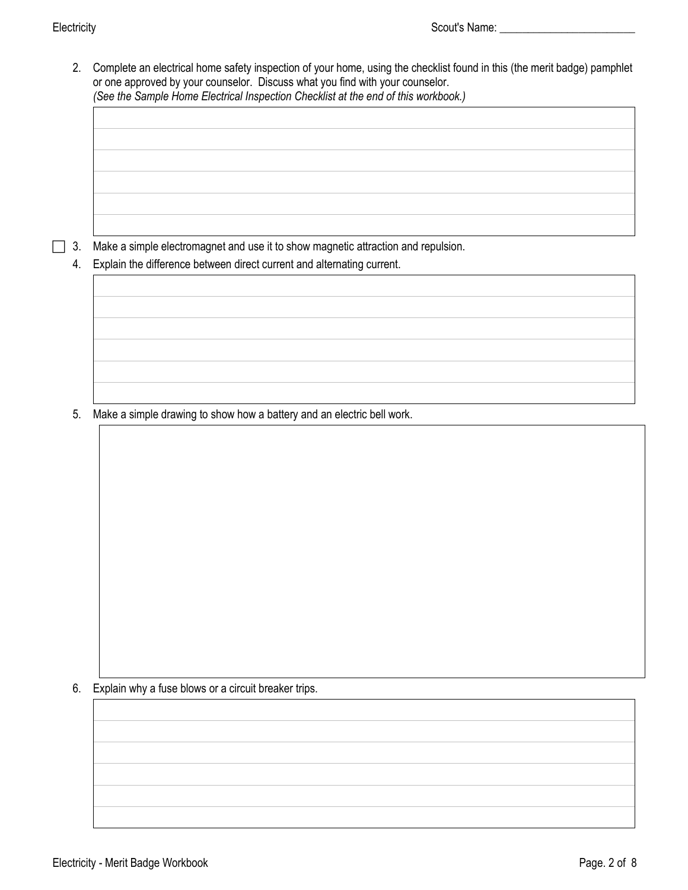2. Complete an electrical home safety inspection of your home, using the checklist found in this (the merit badge) pamphlet or one approved by your counselor. Discuss what you find with your counselor. *(See the [Sample Home Electrical Inspection Checklist](#page--1-0) at the end of this workbook.)* 

 $\Box$  3. Make a simple electromagnet and use it to show magnetic attraction and repulsion.

4. Explain the difference between direct current and alternating current.

5. Make a simple drawing to show how a battery and an electric bell work.

6. Explain why a fuse blows or a circuit breaker trips.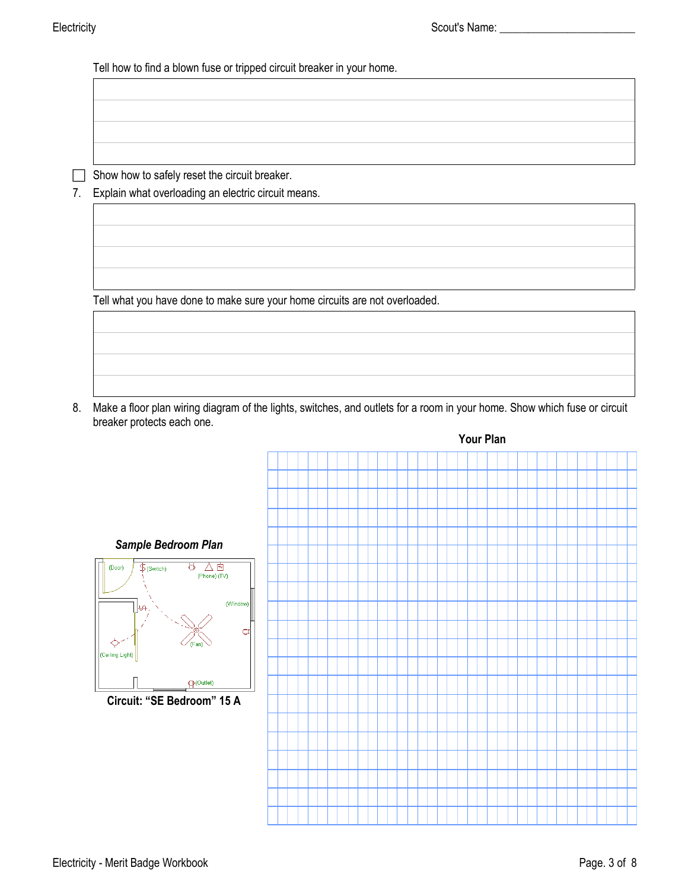Tell how to find a blown fuse or tripped circuit breaker in your home.

 $\Box$  Show how to safely reset the circuit breaker.

7. Explain what overloading an electric circuit means.

Tell what you have done to make sure your home circuits are not overloaded.

8. Make a floor plan wiring diagram of the lights, switches, and outlets for a room in your home. Show which fuse or circuit breaker protects each one.

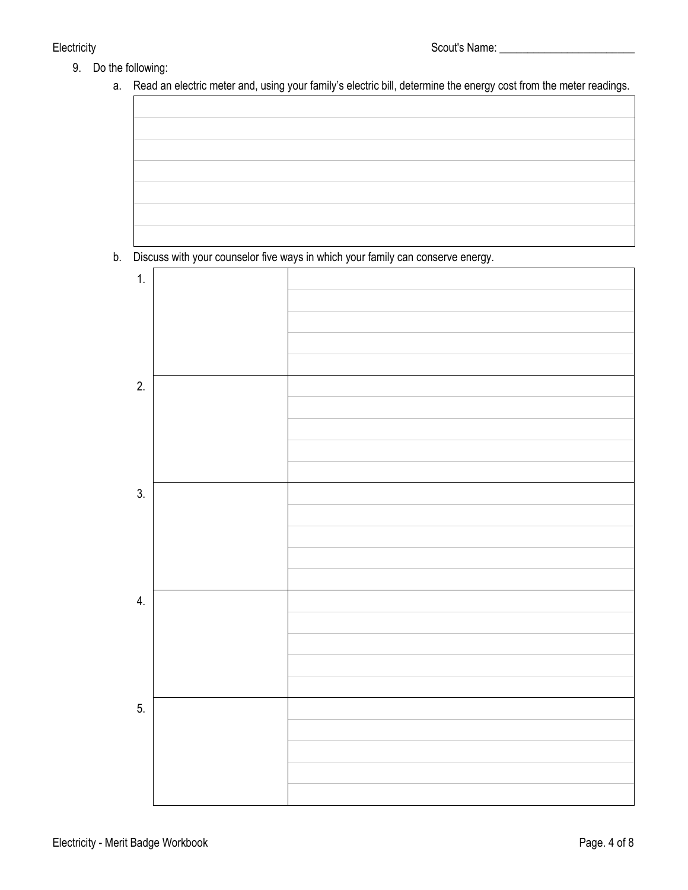- 9. Do the following:
	- a. Read an electric meter and, using your family's electric bill, determine the energy cost from the meter readings.



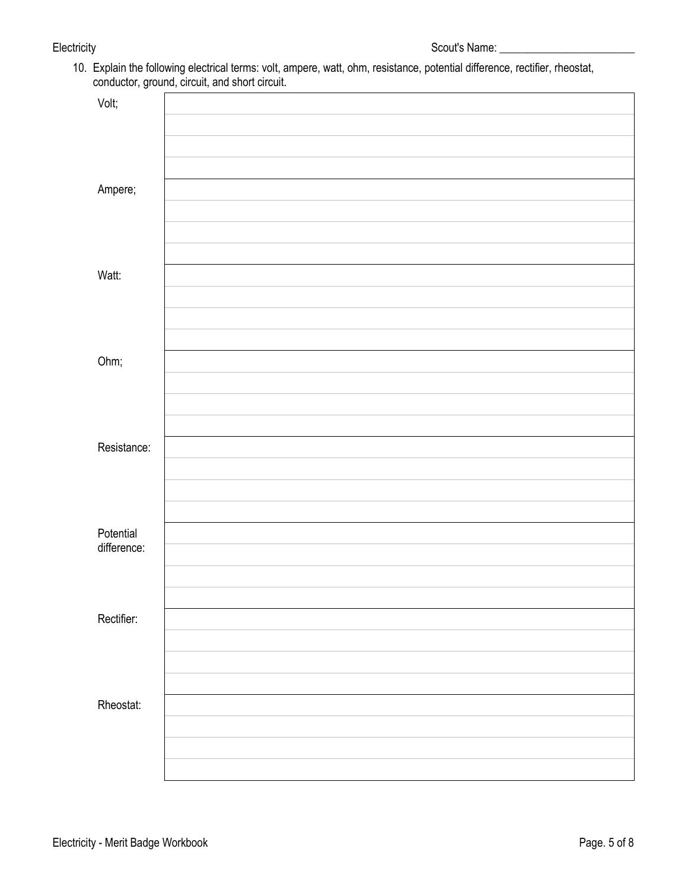10. Explain the following electrical terms: volt, ampere, watt, ohm, resistance, potential difference, rectifier, rheostat, conductor, ground, circuit, and short circuit.

|             | $\cdot$<br>$\sim$ |
|-------------|-------------------|
| Volt;       |                   |
|             |                   |
|             |                   |
|             |                   |
| Ampere;     |                   |
|             |                   |
|             |                   |
|             |                   |
| Watt:       |                   |
|             |                   |
|             |                   |
|             |                   |
| Ohm;        |                   |
|             |                   |
|             |                   |
|             |                   |
| Resistance: |                   |
|             |                   |
|             |                   |
| Potential   |                   |
|             |                   |
| difference: |                   |
|             |                   |
|             |                   |
|             |                   |
| Rectifier:  |                   |
|             |                   |
|             |                   |
|             |                   |
| Rheostat:   |                   |
|             |                   |
|             |                   |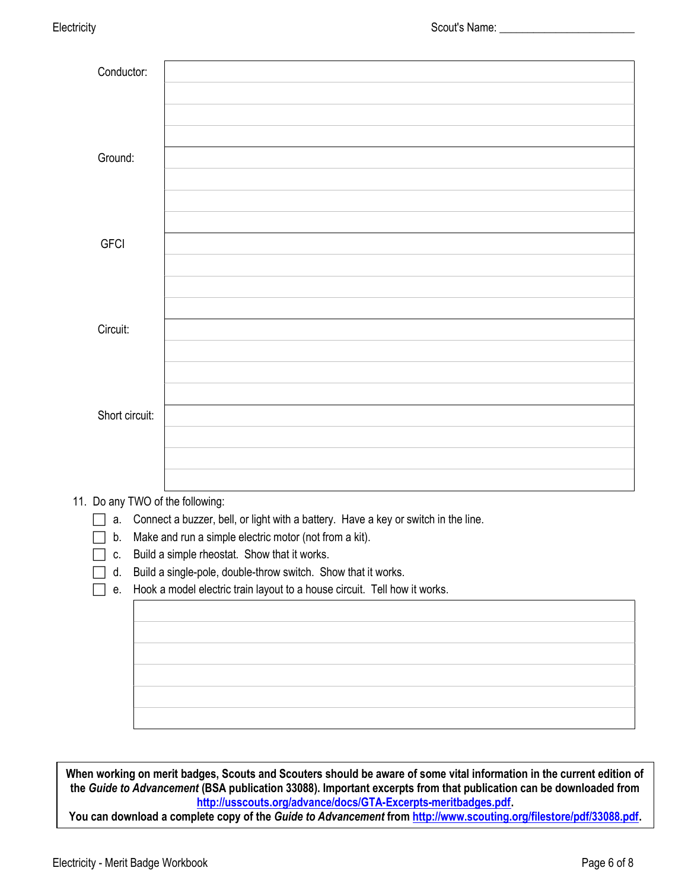| Conductor:                       |  |
|----------------------------------|--|
|                                  |  |
|                                  |  |
|                                  |  |
| Ground:                          |  |
|                                  |  |
|                                  |  |
|                                  |  |
| <b>GFCI</b>                      |  |
|                                  |  |
|                                  |  |
|                                  |  |
| Circuit:                         |  |
|                                  |  |
|                                  |  |
|                                  |  |
| Short circuit:                   |  |
|                                  |  |
|                                  |  |
|                                  |  |
| 11. Do any TWO of the following: |  |

 $\Box$  a. Connect a buzzer, bell, or light with a battery. Have a key or switch in the line.

 $\Box$  b. Make and run a simple electric motor (not from a kit).

 $\Box$  c. Build a simple rheostat. Show that it works.

d. Build a single-pole, double-throw switch. Show that it works.

 $\Box$  e. Hook a model electric train layout to a house circuit. Tell how it works.

When working on merit badges, Scouts and Scouters should be aware of some vital information in the current edition of the Guide to Advancement (BSA publication 33088). Important excerpts from that publication can be downloaded from http://usscouts.org/advance/docs/GTA-Excerpts-meritbadges.pdf.

You can download a complete copy of the Guide to Advancement from http://www.scouting.org/filestore/pdf/33088.pdf.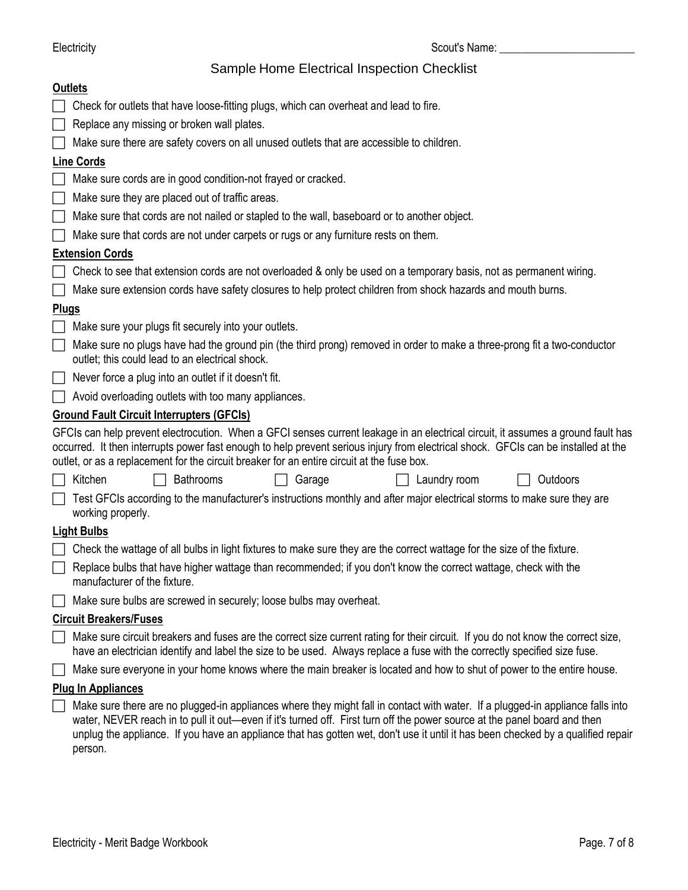## Sample Home Electrical Inspection Checklist

|                             | <b>Outlets</b>                                                                                                                                                                                                                                                                                                                                                       |  |  |  |  |  |  |  |  |  |  |  |
|-----------------------------|----------------------------------------------------------------------------------------------------------------------------------------------------------------------------------------------------------------------------------------------------------------------------------------------------------------------------------------------------------------------|--|--|--|--|--|--|--|--|--|--|--|
|                             | Check for outlets that have loose-fitting plugs, which can overheat and lead to fire.                                                                                                                                                                                                                                                                                |  |  |  |  |  |  |  |  |  |  |  |
|                             | Replace any missing or broken wall plates.                                                                                                                                                                                                                                                                                                                           |  |  |  |  |  |  |  |  |  |  |  |
|                             | Make sure there are safety covers on all unused outlets that are accessible to children.                                                                                                                                                                                                                                                                             |  |  |  |  |  |  |  |  |  |  |  |
|                             | <b>Line Cords</b>                                                                                                                                                                                                                                                                                                                                                    |  |  |  |  |  |  |  |  |  |  |  |
| $\mathcal{L}$               | Make sure cords are in good condition-not frayed or cracked.                                                                                                                                                                                                                                                                                                         |  |  |  |  |  |  |  |  |  |  |  |
|                             | Make sure they are placed out of traffic areas.                                                                                                                                                                                                                                                                                                                      |  |  |  |  |  |  |  |  |  |  |  |
|                             | Make sure that cords are not nailed or stapled to the wall, baseboard or to another object.                                                                                                                                                                                                                                                                          |  |  |  |  |  |  |  |  |  |  |  |
|                             | Make sure that cords are not under carpets or rugs or any furniture rests on them.                                                                                                                                                                                                                                                                                   |  |  |  |  |  |  |  |  |  |  |  |
|                             | <b>Extension Cords</b>                                                                                                                                                                                                                                                                                                                                               |  |  |  |  |  |  |  |  |  |  |  |
|                             | Check to see that extension cords are not overloaded & only be used on a temporary basis, not as permanent wiring.                                                                                                                                                                                                                                                   |  |  |  |  |  |  |  |  |  |  |  |
|                             | Make sure extension cords have safety closures to help protect children from shock hazards and mouth burns.                                                                                                                                                                                                                                                          |  |  |  |  |  |  |  |  |  |  |  |
| <b>Plugs</b>                |                                                                                                                                                                                                                                                                                                                                                                      |  |  |  |  |  |  |  |  |  |  |  |
| $\Box$                      | Make sure your plugs fit securely into your outlets.                                                                                                                                                                                                                                                                                                                 |  |  |  |  |  |  |  |  |  |  |  |
| $\mathcal{L}_{\mathcal{A}}$ | Make sure no plugs have had the ground pin (the third prong) removed in order to make a three-prong fit a two-conductor<br>outlet; this could lead to an electrical shock.                                                                                                                                                                                           |  |  |  |  |  |  |  |  |  |  |  |
|                             | Never force a plug into an outlet if it doesn't fit.                                                                                                                                                                                                                                                                                                                 |  |  |  |  |  |  |  |  |  |  |  |
|                             | Avoid overloading outlets with too many appliances.                                                                                                                                                                                                                                                                                                                  |  |  |  |  |  |  |  |  |  |  |  |
|                             | <b>Ground Fault Circuit Interrupters (GFCIs)</b>                                                                                                                                                                                                                                                                                                                     |  |  |  |  |  |  |  |  |  |  |  |
|                             | GFCIs can help prevent electrocution. When a GFCI senses current leakage in an electrical circuit, it assumes a ground fault has<br>occurred. It then interrupts power fast enough to help prevent serious injury from electrical shock. GFCIs can be installed at the<br>outlet, or as a replacement for the circuit breaker for an entire circuit at the fuse box. |  |  |  |  |  |  |  |  |  |  |  |
|                             | Kitchen<br><b>Bathrooms</b><br>Garage<br>Laundry room<br>Outdoors                                                                                                                                                                                                                                                                                                    |  |  |  |  |  |  |  |  |  |  |  |
|                             | Test GFCIs according to the manufacturer's instructions monthly and after major electrical storms to make sure they are<br>working properly.                                                                                                                                                                                                                         |  |  |  |  |  |  |  |  |  |  |  |
|                             | <b>Light Bulbs</b>                                                                                                                                                                                                                                                                                                                                                   |  |  |  |  |  |  |  |  |  |  |  |
|                             |                                                                                                                                                                                                                                                                                                                                                                      |  |  |  |  |  |  |  |  |  |  |  |
|                             | Check the wattage of all bulbs in light fixtures to make sure they are the correct wattage for the size of the fixture.                                                                                                                                                                                                                                              |  |  |  |  |  |  |  |  |  |  |  |
|                             | Replace bulbs that have higher wattage than recommended; if you don't know the correct wattage, check with the<br>manufacturer of the fixture.                                                                                                                                                                                                                       |  |  |  |  |  |  |  |  |  |  |  |
|                             | Make sure bulbs are screwed in securely; loose bulbs may overheat.                                                                                                                                                                                                                                                                                                   |  |  |  |  |  |  |  |  |  |  |  |
|                             | <b>Circuit Breakers/Fuses</b>                                                                                                                                                                                                                                                                                                                                        |  |  |  |  |  |  |  |  |  |  |  |
|                             | Make sure circuit breakers and fuses are the correct size current rating for their circuit. If you do not know the correct size,<br>have an electrician identify and label the size to be used. Always replace a fuse with the correctly specified size fuse.                                                                                                        |  |  |  |  |  |  |  |  |  |  |  |
|                             | Make sure everyone in your home knows where the main breaker is located and how to shut of power to the entire house.                                                                                                                                                                                                                                                |  |  |  |  |  |  |  |  |  |  |  |
|                             | <b>Plug In Appliances</b>                                                                                                                                                                                                                                                                                                                                            |  |  |  |  |  |  |  |  |  |  |  |